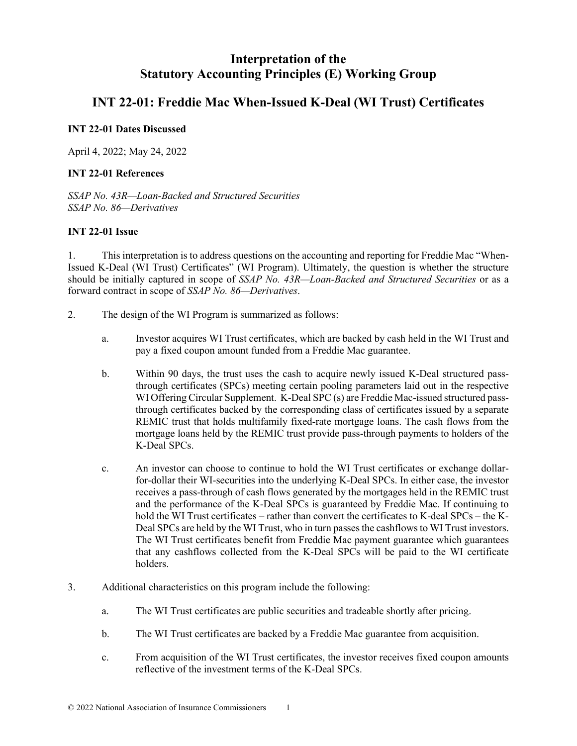# **Interpretation of the Statutory Accounting Principles (E) Working Group**

## **INT 22-01: Freddie Mac When-Issued K-Deal (WI Trust) Certificates**

## **INT 22-01 Dates Discussed**

April 4, 2022; May 24, 2022

## **INT 22-01 References**

*SSAP No. 43R—Loan-Backed and Structured Securities SSAP No. 86—Derivatives*

## **INT 22-01 Issue**

1. This interpretation is to address questions on the accounting and reporting for Freddie Mac "When-Issued K-Deal (WI Trust) Certificates" (WI Program). Ultimately, the question is whether the structure should be initially captured in scope of *SSAP No. 43R—Loan-Backed and Structured Securities* or as a forward contract in scope of *SSAP No. 86—Derivatives*.

- 2. The design of the WI Program is summarized as follows:
	- a. Investor acquires WI Trust certificates, which are backed by cash held in the WI Trust and pay a fixed coupon amount funded from a Freddie Mac guarantee.
	- b. Within 90 days, the trust uses the cash to acquire newly issued K-Deal structured passthrough certificates (SPCs) meeting certain pooling parameters laid out in the respective WI Offering Circular Supplement. K-Deal SPC (s) are Freddie Mac-issued structured passthrough certificates backed by the corresponding class of certificates issued by a separate REMIC trust that holds multifamily fixed-rate mortgage loans. The cash flows from the mortgage loans held by the REMIC trust provide pass-through payments to holders of the K-Deal SPCs.
	- c. An investor can choose to continue to hold the WI Trust certificates or exchange dollarfor-dollar their WI-securities into the underlying K-Deal SPCs. In either case, the investor receives a pass-through of cash flows generated by the mortgages held in the REMIC trust and the performance of the K-Deal SPCs is guaranteed by Freddie Mac. If continuing to hold the WI Trust certificates – rather than convert the certificates to K-deal SPCs – the K-Deal SPCs are held by the WI Trust, who in turn passes the cashflows to WI Trust investors. The WI Trust certificates benefit from Freddie Mac payment guarantee which guarantees that any cashflows collected from the K-Deal SPCs will be paid to the WI certificate holders.
- 3. Additional characteristics on this program include the following:
	- a. The WI Trust certificates are public securities and tradeable shortly after pricing.
	- b. The WI Trust certificates are backed by a Freddie Mac guarantee from acquisition.
	- c. From acquisition of the WI Trust certificates, the investor receives fixed coupon amounts reflective of the investment terms of the K-Deal SPCs.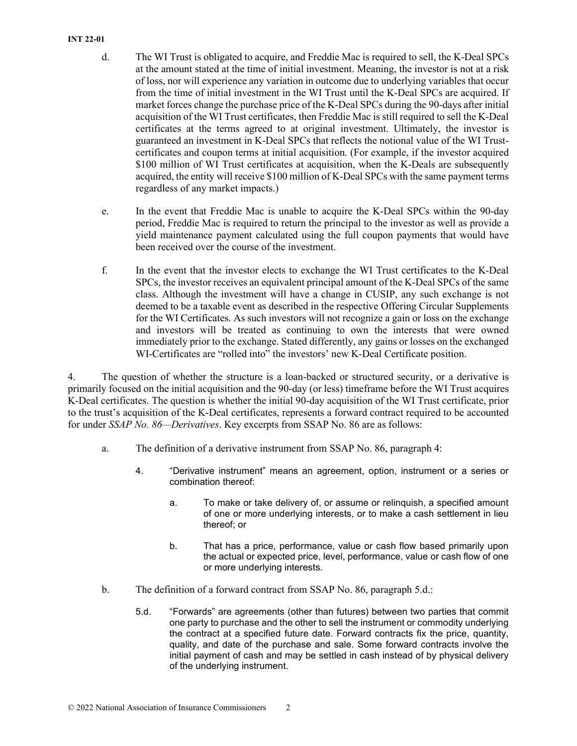#### **INT 22-01**

- d. The WI Trust is obligated to acquire, and Freddie Mac is required to sell, the K-Deal SPCs at the amount stated at the time of initial investment. Meaning, the investor is not at a risk of loss, nor will experience any variation in outcome due to underlying variables that occur from the time of initial investment in the WI Trust until the K-Deal SPCs are acquired. If market forces change the purchase price of the K-Deal SPCs during the 90-days after initial acquisition of the WI Trust certificates, then Freddie Mac is still required to sell the K-Deal certificates at the terms agreed to at original investment. Ultimately, the investor is guaranteed an investment in K-Deal SPCs that reflects the notional value of the WI Trustcertificates and coupon terms at initial acquisition. (For example, if the investor acquired \$100 million of WI Trust certificates at acquisition, when the K-Deals are subsequently acquired, the entity will receive \$100 million of K-Deal SPCs with the same payment terms regardless of any market impacts.)
- e. In the event that Freddie Mac is unable to acquire the K-Deal SPCs within the 90-day period, Freddie Mac is required to return the principal to the investor as well as provide a yield maintenance payment calculated using the full coupon payments that would have been received over the course of the investment.
- f. In the event that the investor elects to exchange the WI Trust certificates to the K-Deal SPCs, the investor receives an equivalent principal amount of the K-Deal SPCs of the same class. Although the investment will have a change in CUSIP, any such exchange is not deemed to be a taxable event as described in the respective Offering Circular Supplements for the WI Certificates. As such investors will not recognize a gain or loss on the exchange and investors will be treated as continuing to own the interests that were owned immediately prior to the exchange. Stated differently, any gains or losses on the exchanged WI-Certificates are "rolled into" the investors' new K-Deal Certificate position.

4. The question of whether the structure is a loan-backed or structured security, or a derivative is primarily focused on the initial acquisition and the 90-day (or less) timeframe before the WI Trust acquires K-Deal certificates. The question is whether the initial 90-day acquisition of the WI Trust certificate, prior to the trust's acquisition of the K-Deal certificates, represents a forward contract required to be accounted for under *SSAP No. 86—Derivatives*. Key excerpts from SSAP No. 86 are as follows:

- a. The definition of a derivative instrument from SSAP No. 86, paragraph 4:
	- 4. "Derivative instrument" means an agreement, option, instrument or a series or combination thereof:
		- a. To make or take delivery of, or assume or relinquish, a specified amount of one or more underlying interests, or to make a cash settlement in lieu thereof; or
		- b. That has a price, performance, value or cash flow based primarily upon the actual or expected price, level, performance, value or cash flow of one or more underlying interests.
- b. The definition of a forward contract from SSAP No. 86, paragraph 5.d.:
	- 5.d. "Forwards" are agreements (other than futures) between two parties that commit one party to purchase and the other to sell the instrument or commodity underlying the contract at a specified future date. Forward contracts fix the price, quantity, quality, and date of the purchase and sale. Some forward contracts involve the initial payment of cash and may be settled in cash instead of by physical delivery of the underlying instrument.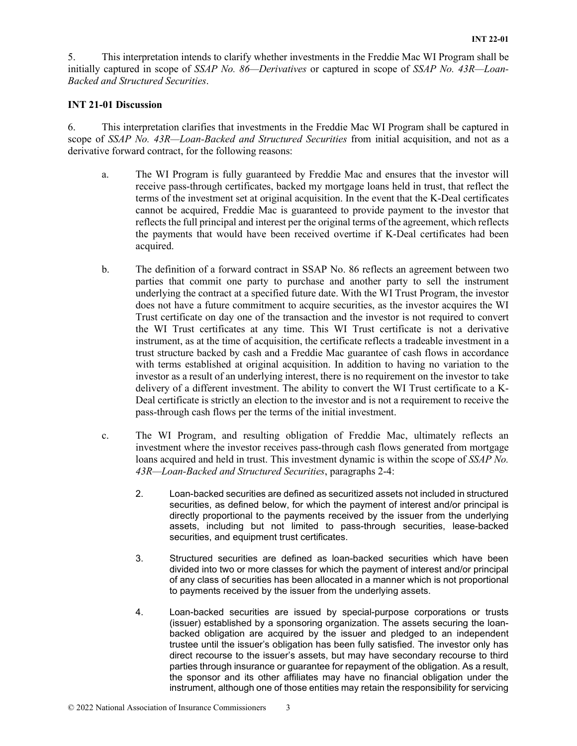5. This interpretation intends to clarify whether investments in the Freddie Mac WI Program shall be initially captured in scope of *SSAP No. 86—Derivatives* or captured in scope of *SSAP No. 43R—Loan-Backed and Structured Securities*.

#### **INT 21-01 Discussion**

6. This interpretation clarifies that investments in the Freddie Mac WI Program shall be captured in scope of *SSAP No. 43R—Loan-Backed and Structured Securities* from initial acquisition, and not as a derivative forward contract, for the following reasons:

- a. The WI Program is fully guaranteed by Freddie Mac and ensures that the investor will receive pass-through certificates, backed my mortgage loans held in trust, that reflect the terms of the investment set at original acquisition. In the event that the K-Deal certificates cannot be acquired, Freddie Mac is guaranteed to provide payment to the investor that reflects the full principal and interest per the original terms of the agreement, which reflects the payments that would have been received overtime if K-Deal certificates had been acquired.
- b. The definition of a forward contract in SSAP No. 86 reflects an agreement between two parties that commit one party to purchase and another party to sell the instrument underlying the contract at a specified future date. With the WI Trust Program, the investor does not have a future commitment to acquire securities, as the investor acquires the WI Trust certificate on day one of the transaction and the investor is not required to convert the WI Trust certificates at any time. This WI Trust certificate is not a derivative instrument, as at the time of acquisition, the certificate reflects a tradeable investment in a trust structure backed by cash and a Freddie Mac guarantee of cash flows in accordance with terms established at original acquisition. In addition to having no variation to the investor as a result of an underlying interest, there is no requirement on the investor to take delivery of a different investment. The ability to convert the WI Trust certificate to a K-Deal certificate is strictly an election to the investor and is not a requirement to receive the pass-through cash flows per the terms of the initial investment.
- c. The WI Program, and resulting obligation of Freddie Mac, ultimately reflects an investment where the investor receives pass-through cash flows generated from mortgage loans acquired and held in trust. This investment dynamic is within the scope of *SSAP No. 43R—Loan-Backed and Structured Securities*, paragraphs 2-4:
	- 2. Loan-backed securities are defined as securitized assets not included in structured securities, as defined below, for which the payment of interest and/or principal is directly proportional to the payments received by the issuer from the underlying assets, including but not limited to pass-through securities, lease-backed securities, and equipment trust certificates.
	- 3. Structured securities are defined as loan-backed securities which have been divided into two or more classes for which the payment of interest and/or principal of any class of securities has been allocated in a manner which is not proportional to payments received by the issuer from the underlying assets.
	- 4. Loan-backed securities are issued by special-purpose corporations or trusts (issuer) established by a sponsoring organization. The assets securing the loanbacked obligation are acquired by the issuer and pledged to an independent trustee until the issuer's obligation has been fully satisfied. The investor only has direct recourse to the issuer's assets, but may have secondary recourse to third parties through insurance or guarantee for repayment of the obligation. As a result, the sponsor and its other affiliates may have no financial obligation under the instrument, although one of those entities may retain the responsibility for servicing